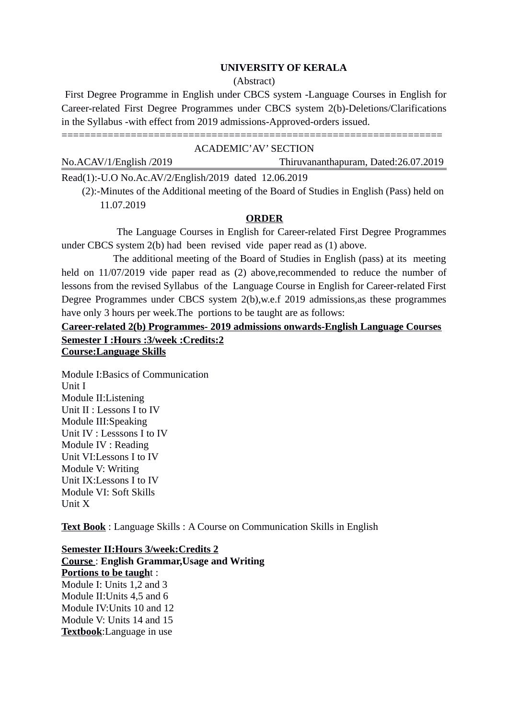#### **UNIVERSITY OF KERALA**

#### (Abstract)

First Degree Programme in English under CBCS system -Language Courses in English for Career-related First Degree Programmes under CBCS system 2(b)-Deletions/Clarifications in the Syllabus -with effect from 2019 admissions-Approved-orders issued.

==================================================================

# ACADEMIC'AV' SECTION

No.ACAV/1/English /2019 Thiruvananthapuram, Dated:26.07.2019

Read(1):-U.O No.Ac.AV/2/English/2019 dated 12.06.2019

 (2):-Minutes of the Additional meeting of the Board of Studies in English (Pass) held on 11.07.2019

### **ORDER**

The Language Courses in English for Career-related First Degree Programmes under CBCS system 2(b) had been revised vide paper read as (1) above.

 The additional meeting of the Board of Studies in English (pass) at its meeting held on 11/07/2019 vide paper read as (2) above,recommended to reduce the number of lessons from the revised Syllabus of the Language Course in English for Career-related First Degree Programmes under CBCS system 2(b),w.e.f 2019 admissions,as these programmes have only 3 hours per week.The portions to be taught are as follows:

# **Career-related 2(b) Programmes- 2019 admissions onwards-English Language Courses Semester I :Hours :3/week :Credits:2**

**Course:Language Skills**

Module I:Basics of Communication Unit I Module II:Listening Unit II : Lessons I to IV Module III:Speaking Unit IV : Lesssons I to IV Module IV : Reading Unit VI:Lessons I to IV Module V: Writing Unit IX:Lessons I to IV Module VI: Soft Skills Unit X

**Text Book** : Language Skills : A Course on Communication Skills in English

**Semester II:Hours 3/week:Credits 2 Course** : **English Grammar,Usage and Writing Portions to be taugh**t : Module I: Units 1,2 and 3 Module II:Units 4,5 and 6 Module IV:Units 10 and 12 Module V: Units 14 and 15 **Textbook**:Language in use